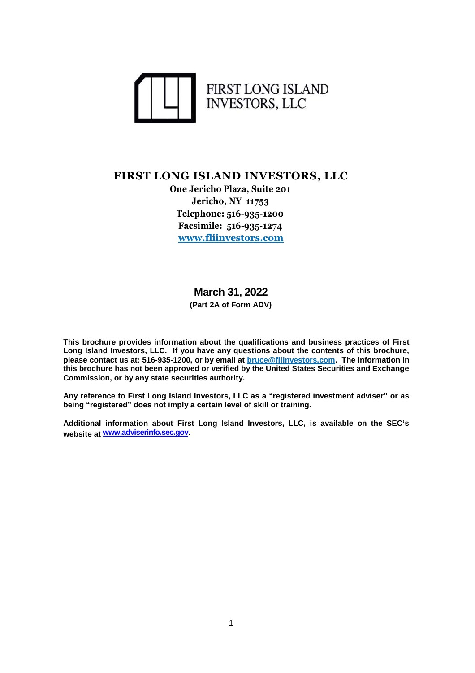

#### **FIRST LONG ISLAND INVESTORS, LLC**

**One Jericho Plaza, Suite 201 Jericho, NY 11753 Telephone: 516-935-1200 Facsimile: 516-935-1274 www.fliinvestors.com**

## **March 31, 2022**

**(Part 2A of Form ADV)**

**This brochure provides information about the qualifications and business practices of First Long Island Investors, LLC. If you have any questions about the contents of this brochure, please contact us at: 516-935-1200, or by email at bruce@fliinvestors.com. The information in this brochure has not been approved or verified by the United States Securities and Exchange Commission, or by any state securities authority.**

**Any reference to First Long Island Investors, LLC as a "registered investment adviser" or as being "registered" does not imply a certain level of skill or training.**

**Additional information about First Long Island Investors, LLC, is available on the SEC's website at www.adviserinfo.sec.gov**.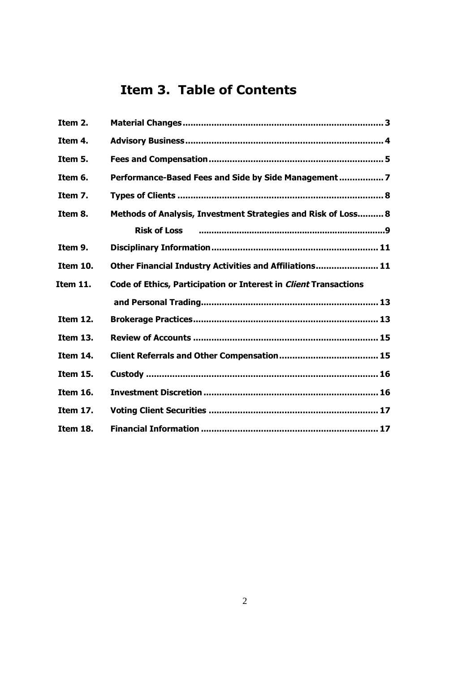# **Item 3. Table of Contents**

| Item 2.         |                                                                         |
|-----------------|-------------------------------------------------------------------------|
| Item 4.         |                                                                         |
| Item 5.         |                                                                         |
| Item 6.         | Performance-Based Fees and Side by Side Management  7                   |
| Item 7.         |                                                                         |
| Item 8.         | Methods of Analysis, Investment Strategies and Risk of Loss 8           |
|                 | <b>Risk of Loss</b>                                                     |
| Item 9.         |                                                                         |
| Item 10.        | Other Financial Industry Activities and Affiliations 11                 |
| Item 11.        | <b>Code of Ethics, Participation or Interest in Client Transactions</b> |
|                 |                                                                         |
| <b>Item 12.</b> |                                                                         |
| <b>Item 13.</b> |                                                                         |
| Item 14.        |                                                                         |
| Item 15.        |                                                                         |
| <b>Item 16.</b> |                                                                         |
| <b>Item 17.</b> |                                                                         |
| Item 18.        |                                                                         |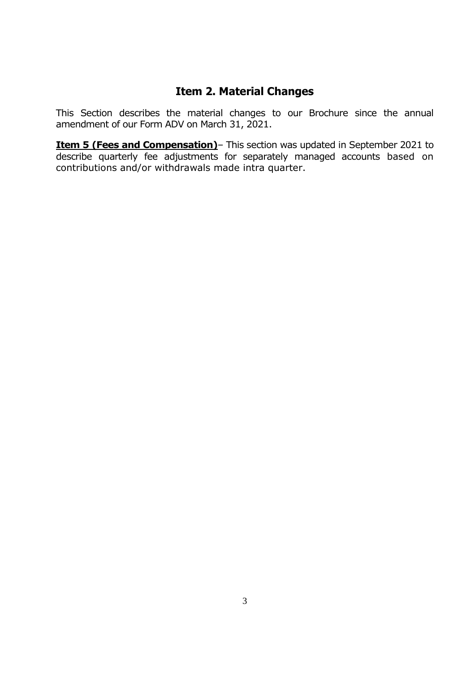#### **Item 2. Material Changes**

This Section describes the material changes to our Brochure since the annual amendment of our Form ADV on March 31, 2021.

**Item 5 (Fees and Compensation)** – This section was updated in September 2021 to describe quarterly fee adjustments for separately managed accounts based on contributions and/or withdrawals made intra quarter.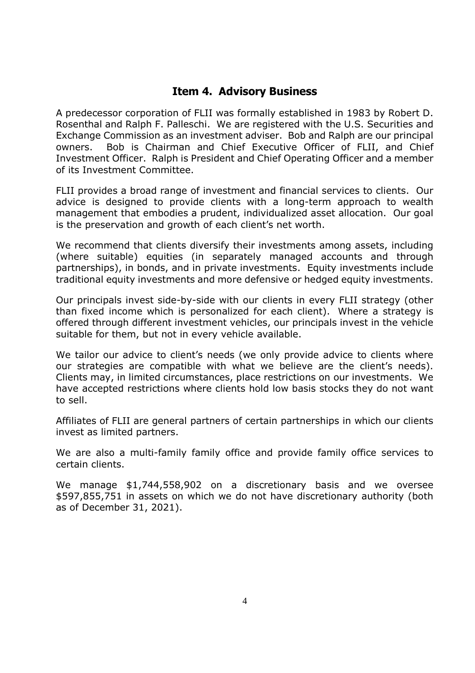#### **Item 4. Advisory Business**

A predecessor corporation of FLII was formally established in 1983 by Robert D. Rosenthal and Ralph F. Palleschi. We are registered with the U.S. Securities and Exchange Commission as an investment adviser. Bob and Ralph are our principal owners. Bob is Chairman and Chief Executive Officer of FLII, and Chief Investment Officer. Ralph is President and Chief Operating Officer and a member of its Investment Committee.

FLII provides a broad range of investment and financial services to clients. Our advice is designed to provide clients with a long-term approach to wealth management that embodies a prudent, individualized asset allocation. Our goal is the preservation and growth of each client's net worth.

We recommend that clients diversify their investments among assets, including (where suitable) equities (in separately managed accounts and through partnerships), in bonds, and in private investments. Equity investments include traditional equity investments and more defensive or hedged equity investments.

Our principals invest side-by-side with our clients in every FLII strategy (other than fixed income which is personalized for each client). Where a strategy is offered through different investment vehicles, our principals invest in the vehicle suitable for them, but not in every vehicle available.

We tailor our advice to client's needs (we only provide advice to clients where our strategies are compatible with what we believe are the client's needs). Clients may, in limited circumstances, place restrictions on our investments. We have accepted restrictions where clients hold low basis stocks they do not want to sell.

Affiliates of FLII are general partners of certain partnerships in which our clients invest as limited partners.

We are also a multi-family family office and provide family office services to certain clients.

We manage \$1,744,558,902 on a discretionary basis and we oversee \$597,855,751 in assets on which we do not have discretionary authority (both as of December 31, 2021).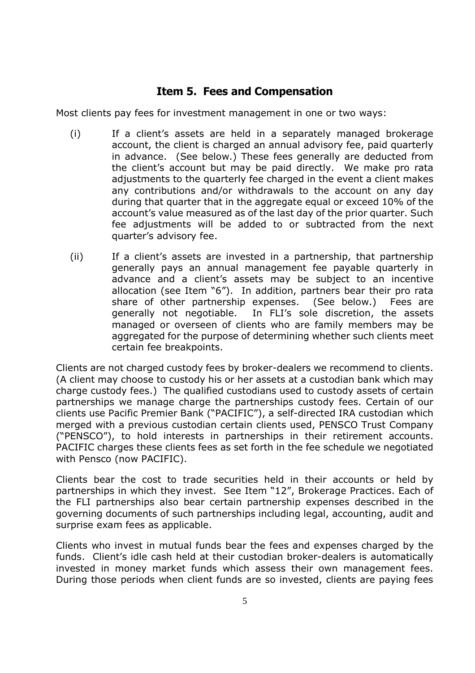## **Item 5. Fees and Compensation**

Most clients pay fees for investment management in one or two ways:

- (i) If a client's assets are held in a separately managed brokerage account, the client is charged an annual advisory fee, paid quarterly in advance. (See below.) These fees generally are deducted from the client's account but may be paid directly. We make pro rata adjustments to the quarterly fee charged in the event a client makes any contributions and/or withdrawals to the account on any day during that quarter that in the aggregate equal or exceed 10% of the account's value measured as of the last day of the prior quarter. Such fee adjustments will be added to or subtracted from the next quarter's advisory fee.
- (ii) If a client's assets are invested in a partnership, that partnership generally pays an annual management fee payable quarterly in advance and a client's assets may be subject to an incentive allocation (see Item "6"). In addition, partners bear their pro rata share of other partnership expenses. (See below.) Fees are generally not negotiable. In FLI's sole discretion, the assets managed or overseen of clients who are family members may be aggregated for the purpose of determining whether such clients meet certain fee breakpoints.

Clients are not charged custody fees by broker-dealers we recommend to clients. (A client may choose to custody his or her assets at a custodian bank which may charge custody fees.) The qualified custodians used to custody assets of certain partnerships we manage charge the partnerships custody fees. Certain of our clients use Pacific Premier Bank ("PACIFIC"), a self-directed IRA custodian which merged with a previous custodian certain clients used, PENSCO Trust Company ("PENSCO"), to hold interests in partnerships in their retirement accounts. PACIFIC charges these clients fees as set forth in the fee schedule we negotiated with Pensco (now PACIFIC).

Clients bear the cost to trade securities held in their accounts or held by partnerships in which they invest. See Item "12", Brokerage Practices. Each of the FLI partnerships also bear certain partnership expenses described in the governing documents of such partnerships including legal, accounting, audit and surprise exam fees as applicable.

Clients who invest in mutual funds bear the fees and expenses charged by the funds. Client's idle cash held at their custodian broker-dealers is automatically invested in money market funds which assess their own management fees. During those periods when client funds are so invested, clients are paying fees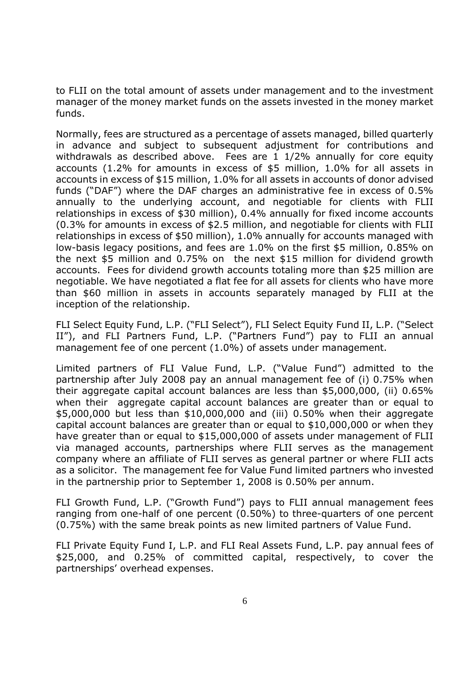to FLII on the total amount of assets under management and to the investment manager of the money market funds on the assets invested in the money market funds.

Normally, fees are structured as a percentage of assets managed, billed quarterly in advance and subject to subsequent adjustment for contributions and withdrawals as described above. Fees are 1 1/2% annually for core equity accounts (1.2% for amounts in excess of \$5 million, 1.0% for all assets in accounts in excess of \$15 million, 1.0% for all assets in accounts of donor advised funds ("DAF") where the DAF charges an administrative fee in excess of 0.5% annually to the underlying account, and negotiable for clients with FLII relationships in excess of \$30 million), 0.4% annually for fixed income accounts (0.3% for amounts in excess of \$2.5 million, and negotiable for clients with FLII relationships in excess of \$50 million), 1.0% annually for accounts managed with low-basis legacy positions, and fees are 1.0% on the first \$5 million, 0.85% on the next \$5 million and 0.75% on the next \$15 million for dividend growth accounts. Fees for dividend growth accounts totaling more than \$25 million are negotiable. We have negotiated a flat fee for all assets for clients who have more than \$60 million in assets in accounts separately managed by FLII at the inception of the relationship.

FLI Select Equity Fund, L.P. ("FLI Select"), FLI Select Equity Fund II, L.P. ("Select II"), and FLI Partners Fund, L.P. ("Partners Fund") pay to FLII an annual management fee of one percent (1.0%) of assets under management.

Limited partners of FLI Value Fund, L.P. ("Value Fund") admitted to the partnership after July 2008 pay an annual management fee of (i) 0.75% when their aggregate capital account balances are less than \$5,000,000, (ii) 0.65% when their aggregate capital account balances are greater than or equal to \$5,000,000 but less than \$10,000,000 and (iii) 0.50% when their aggregate capital account balances are greater than or equal to \$10,000,000 or when they have greater than or equal to \$15,000,000 of assets under management of FLII via managed accounts, partnerships where FLII serves as the management company where an affiliate of FLII serves as general partner or where FLII acts as a solicitor. The management fee for Value Fund limited partners who invested in the partnership prior to September 1, 2008 is 0.50% per annum.

FLI Growth Fund, L.P. ("Growth Fund") pays to FLII annual management fees ranging from one-half of one percent (0.50%) to three-quarters of one percent (0.75%) with the same break points as new limited partners of Value Fund.

FLI Private Equity Fund I, L.P. and FLI Real Assets Fund, L.P. pay annual fees of \$25,000, and 0.25% of committed capital, respectively, to cover the partnerships' overhead expenses.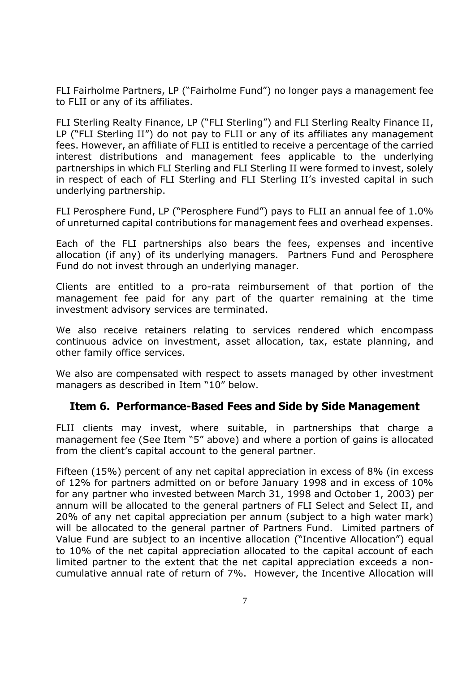FLI Fairholme Partners, LP ("Fairholme Fund") no longer pays a management fee to FLII or any of its affiliates.

FLI Sterling Realty Finance, LP ("FLI Sterling") and FLI Sterling Realty Finance II, LP ("FLI Sterling II") do not pay to FLII or any of its affiliates any management fees. However, an affiliate of FLII is entitled to receive a percentage of the carried interest distributions and management fees applicable to the underlying partnerships in which FLI Sterling and FLI Sterling II were formed to invest, solely in respect of each of FLI Sterling and FLI Sterling II's invested capital in such underlying partnership.

FLI Perosphere Fund, LP ("Perosphere Fund") pays to FLII an annual fee of 1.0% of unreturned capital contributions for management fees and overhead expenses.

Each of the FLI partnerships also bears the fees, expenses and incentive allocation (if any) of its underlying managers. Partners Fund and Perosphere Fund do not invest through an underlying manager.

Clients are entitled to a pro-rata reimbursement of that portion of the management fee paid for any part of the quarter remaining at the time investment advisory services are terminated.

We also receive retainers relating to services rendered which encompass continuous advice on investment, asset allocation, tax, estate planning, and other family office services.

We also are compensated with respect to assets managed by other investment managers as described in Item "10" below.

#### **Item 6. Performance-Based Fees and Side by Side Management**

FLII clients may invest, where suitable, in partnerships that charge a management fee (See Item "5" above) and where a portion of gains is allocated from the client's capital account to the general partner.

Fifteen (15%) percent of any net capital appreciation in excess of 8% (in excess of 12% for partners admitted on or before January 1998 and in excess of 10% for any partner who invested between March 31, 1998 and October 1, 2003) per annum will be allocated to the general partners of FLI Select and Select II, and 20% of any net capital appreciation per annum (subject to a high water mark) will be allocated to the general partner of Partners Fund. Limited partners of Value Fund are subject to an incentive allocation ("Incentive Allocation") equal to 10% of the net capital appreciation allocated to the capital account of each limited partner to the extent that the net capital appreciation exceeds a noncumulative annual rate of return of 7%. However, the Incentive Allocation will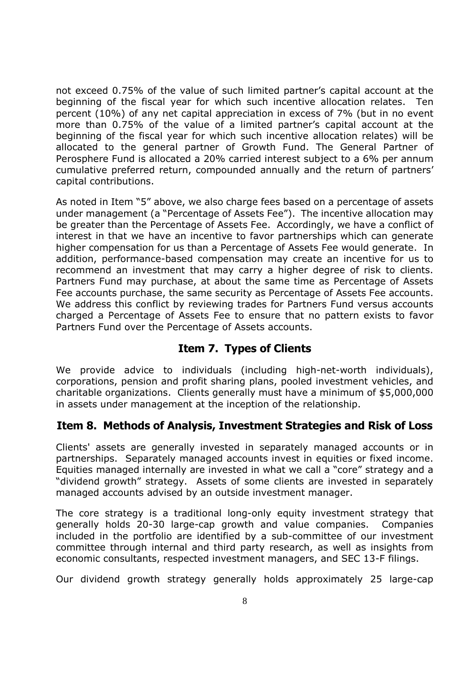not exceed 0.75% of the value of such limited partner's capital account at the beginning of the fiscal year for which such incentive allocation relates. Ten percent (10%) of any net capital appreciation in excess of 7% (but in no event more than 0.75% of the value of a limited partner's capital account at the beginning of the fiscal year for which such incentive allocation relates) will be allocated to the general partner of Growth Fund. The General Partner of Perosphere Fund is allocated a 20% carried interest subject to a 6% per annum cumulative preferred return, compounded annually and the return of partners' capital contributions.

As noted in Item "5" above, we also charge fees based on a percentage of assets under management (a "Percentage of Assets Fee"). The incentive allocation may be greater than the Percentage of Assets Fee. Accordingly, we have a conflict of interest in that we have an incentive to favor partnerships which can generate higher compensation for us than a Percentage of Assets Fee would generate. In addition, performance-based compensation may create an incentive for us to recommend an investment that may carry a higher degree of risk to clients. Partners Fund may purchase, at about the same time as Percentage of Assets Fee accounts purchase, the same security as Percentage of Assets Fee accounts. We address this conflict by reviewing trades for Partners Fund versus accounts charged a Percentage of Assets Fee to ensure that no pattern exists to favor Partners Fund over the Percentage of Assets accounts.

#### **Item 7. Types of Clients**

We provide advice to individuals (including high-net-worth individuals), corporations, pension and profit sharing plans, pooled investment vehicles, and charitable organizations. Clients generally must have a minimum of \$5,000,000 in assets under management at the inception of the relationship.

#### **Item 8. Methods of Analysis, Investment Strategies and Risk of Loss**

Clients' assets are generally invested in separately managed accounts or in partnerships. Separately managed accounts invest in equities or fixed income. Equities managed internally are invested in what we call a "core" strategy and a "dividend growth" strategy. Assets of some clients are invested in separately managed accounts advised by an outside investment manager.

The core strategy is a traditional long-only equity investment strategy that generally holds 20-30 large-cap growth and value companies. Companies included in the portfolio are identified by a sub-committee of our investment committee through internal and third party research, as well as insights from economic consultants, respected investment managers, and SEC 13-F filings.

Our dividend growth strategy generally holds approximately 25 large-cap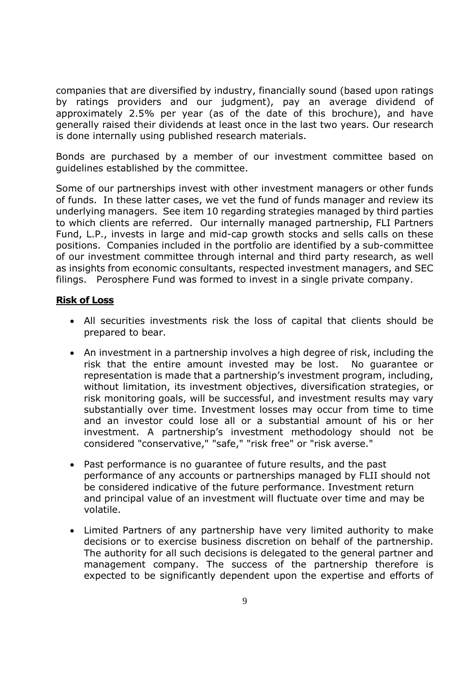companies that are diversified by industry, financially sound (based upon ratings by ratings providers and our judgment), pay an average dividend of approximately 2.5% per year (as of the date of this brochure), and have generally raised their dividends at least once in the last two years. Our research is done internally using published research materials.

Bonds are purchased by a member of our investment committee based on guidelines established by the committee.

Some of our partnerships invest with other investment managers or other funds of funds. In these latter cases, we vet the fund of funds manager and review its underlying managers. See item 10 regarding strategies managed by third parties to which clients are referred. Our internally managed partnership, FLI Partners Fund, L.P., invests in large and mid-cap growth stocks and sells calls on these positions. Companies included in the portfolio are identified by a sub-committee of our investment committee through internal and third party research, as well as insights from economic consultants, respected investment managers, and SEC filings. Perosphere Fund was formed to invest in a single private company.

#### **Risk of Loss**

- All securities investments risk the loss of capital that clients should be prepared to bear.
- An investment in a partnership involves a high degree of risk, including the risk that the entire amount invested may be lost. No guarantee or representation is made that a partnership's investment program, including, without limitation, its investment objectives, diversification strategies, or risk monitoring goals, will be successful, and investment results may vary substantially over time. Investment losses may occur from time to time and an investor could lose all or a substantial amount of his or her investment. A partnership's investment methodology should not be considered "conservative," "safe," "risk free" or "risk averse."
- Past performance is no guarantee of future results, and the past performance of any accounts or partnerships managed by FLII should not be considered indicative of the future performance. Investment return and principal value of an investment will fluctuate over time and may be volatile.
- Limited Partners of any partnership have very limited authority to make decisions or to exercise business discretion on behalf of the partnership. The authority for all such decisions is delegated to the general partner and management company. The success of the partnership therefore is expected to be significantly dependent upon the expertise and efforts of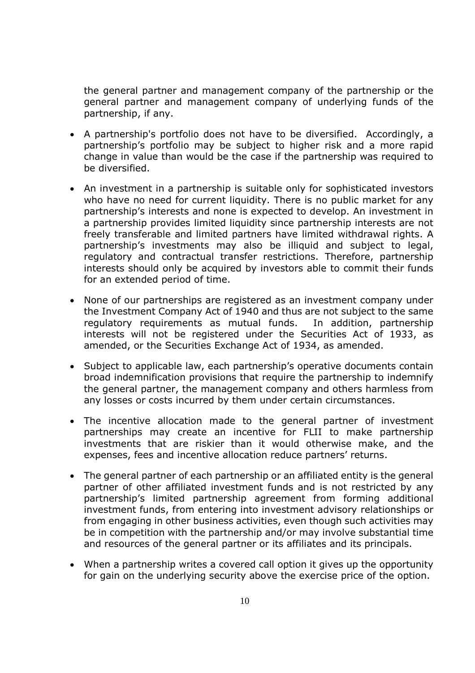the general partner and management company of the partnership or the general partner and management company of underlying funds of the partnership, if any.

- A partnership's portfolio does not have to be diversified. Accordingly, a partnership's portfolio may be subject to higher risk and a more rapid change in value than would be the case if the partnership was required to be diversified.
- An investment in a partnership is suitable only for sophisticated investors who have no need for current liquidity. There is no public market for any partnership's interests and none is expected to develop. An investment in a partnership provides limited liquidity since partnership interests are not freely transferable and limited partners have limited withdrawal rights. A partnership's investments may also be illiquid and subject to legal, regulatory and contractual transfer restrictions. Therefore, partnership interests should only be acquired by investors able to commit their funds for an extended period of time.
- None of our partnerships are registered as an investment company under the Investment Company Act of 1940 and thus are not subject to the same regulatory requirements as mutual funds. In addition, partnership interests will not be registered under the Securities Act of 1933, as amended, or the Securities Exchange Act of 1934, as amended.
- Subject to applicable law, each partnership's operative documents contain broad indemnification provisions that require the partnership to indemnify the general partner, the management company and others harmless from any losses or costs incurred by them under certain circumstances.
- The incentive allocation made to the general partner of investment partnerships may create an incentive for FLII to make partnership investments that are riskier than it would otherwise make, and the expenses, fees and incentive allocation reduce partners' returns.
- The general partner of each partnership or an affiliated entity is the general partner of other affiliated investment funds and is not restricted by any partnership's limited partnership agreement from forming additional investment funds, from entering into investment advisory relationships or from engaging in other business activities, even though such activities may be in competition with the partnership and/or may involve substantial time and resources of the general partner or its affiliates and its principals.
- When a partnership writes a covered call option it gives up the opportunity for gain on the underlying security above the exercise price of the option.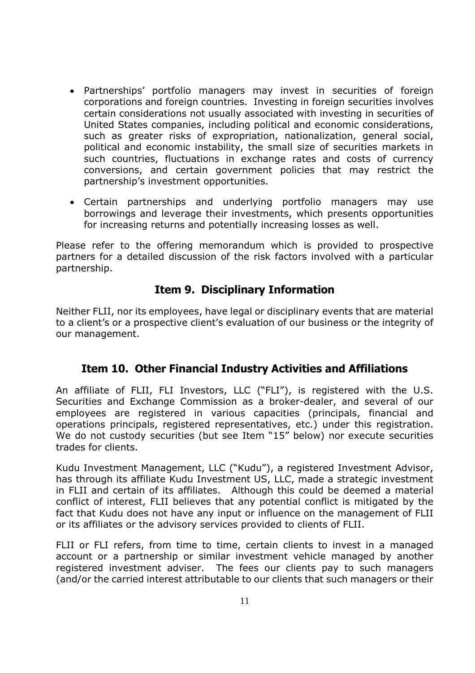- Partnerships' portfolio managers may invest in securities of foreign corporations and foreign countries. Investing in foreign securities involves certain considerations not usually associated with investing in securities of United States companies, including political and economic considerations, such as greater risks of expropriation, nationalization, general social, political and economic instability, the small size of securities markets in such countries, fluctuations in exchange rates and costs of currency conversions, and certain government policies that may restrict the partnership's investment opportunities.
- Certain partnerships and underlying portfolio managers may use borrowings and leverage their investments, which presents opportunities for increasing returns and potentially increasing losses as well.

Please refer to the offering memorandum which is provided to prospective partners for a detailed discussion of the risk factors involved with a particular partnership.

#### **Item 9. Disciplinary Information**

Neither FLII, nor its employees, have legal or disciplinary events that are material to a client's or a prospective client's evaluation of our business or the integrity of our management.

#### **Item 10. Other Financial Industry Activities and Affiliations**

An affiliate of FLII, FLI Investors, LLC ("FLI"), is registered with the U.S. Securities and Exchange Commission as a broker-dealer, and several of our employees are registered in various capacities (principals, financial and operations principals, registered representatives, etc.) under this registration. We do not custody securities (but see Item "15" below) nor execute securities trades for clients.

Kudu Investment Management, LLC ("Kudu"), a registered Investment Advisor, has through its affiliate Kudu Investment US, LLC, made a strategic investment in FLII and certain of its affiliates. Although this could be deemed a material conflict of interest, FLII believes that any potential conflict is mitigated by the fact that Kudu does not have any input or influence on the management of FLII or its affiliates or the advisory services provided to clients of FLII.

FLII or FLI refers, from time to time, certain clients to invest in a managed account or a partnership or similar investment vehicle managed by another registered investment adviser. The fees our clients pay to such managers (and/or the carried interest attributable to our clients that such managers or their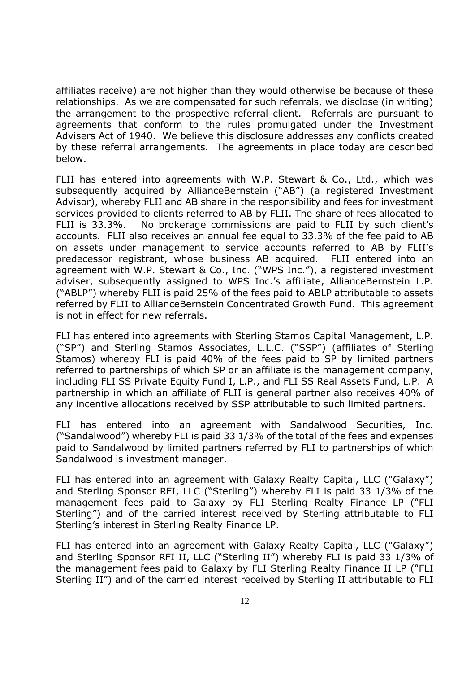affiliates receive) are not higher than they would otherwise be because of these relationships. As we are compensated for such referrals, we disclose (in writing) the arrangement to the prospective referral client. Referrals are pursuant to agreements that conform to the rules promulgated under the Investment Advisers Act of 1940. We believe this disclosure addresses any conflicts created by these referral arrangements. The agreements in place today are described below.

FLII has entered into agreements with W.P. Stewart & Co., Ltd., which was subsequently acquired by AllianceBernstein ("AB") (a registered Investment Advisor), whereby FLII and AB share in the responsibility and fees for investment services provided to clients referred to AB by FLII. The share of fees allocated to FLII is 33.3%. No brokerage commissions are paid to FLII by such client's accounts. FLII also receives an annual fee equal to 33.3% of the fee paid to AB on assets under management to service accounts referred to AB by FLII's predecessor registrant, whose business AB acquired. FLII entered into an agreement with W.P. Stewart & Co., Inc. ("WPS Inc."), a registered investment adviser, subsequently assigned to WPS Inc.'s affiliate, AllianceBernstein L.P. ("ABLP") whereby FLII is paid 25% of the fees paid to ABLP attributable to assets referred by FLII to AllianceBernstein Concentrated Growth Fund. This agreement is not in effect for new referrals.

FLI has entered into agreements with Sterling Stamos Capital Management, L.P. ("SP") and Sterling Stamos Associates, L.L.C. ("SSP") (affiliates of Sterling Stamos) whereby FLI is paid 40% of the fees paid to SP by limited partners referred to partnerships of which SP or an affiliate is the management company, including FLI SS Private Equity Fund I, L.P., and FLI SS Real Assets Fund, L.P. A partnership in which an affiliate of FLII is general partner also receives 40% of any incentive allocations received by SSP attributable to such limited partners.

FLI has entered into an agreement with Sandalwood Securities, Inc. ("Sandalwood") whereby FLI is paid 33 1/3% of the total of the fees and expenses paid to Sandalwood by limited partners referred by FLI to partnerships of which Sandalwood is investment manager.

FLI has entered into an agreement with Galaxy Realty Capital, LLC ("Galaxy") and Sterling Sponsor RFI, LLC ("Sterling") whereby FLI is paid 33 1/3% of the management fees paid to Galaxy by FLI Sterling Realty Finance LP ("FLI Sterling") and of the carried interest received by Sterling attributable to FLI Sterling's interest in Sterling Realty Finance LP.

FLI has entered into an agreement with Galaxy Realty Capital, LLC ("Galaxy") and Sterling Sponsor RFI II, LLC ("Sterling II") whereby FLI is paid 33 1/3% of the management fees paid to Galaxy by FLI Sterling Realty Finance II LP ("FLI Sterling II") and of the carried interest received by Sterling II attributable to FLI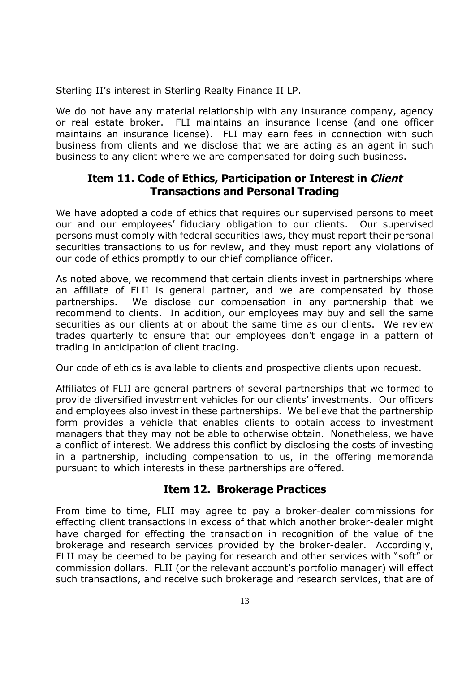Sterling II's interest in Sterling Realty Finance II LP.

We do not have any material relationship with any insurance company, agency or real estate broker. FLI maintains an insurance license (and one officer maintains an insurance license). FLI may earn fees in connection with such business from clients and we disclose that we are acting as an agent in such business to any client where we are compensated for doing such business.

#### **Item 11. Code of Ethics, Participation or Interest in Client Transactions and Personal Trading**

We have adopted a code of ethics that requires our supervised persons to meet our and our employees' fiduciary obligation to our clients. Our supervised persons must comply with federal securities laws, they must report their personal securities transactions to us for review, and they must report any violations of our code of ethics promptly to our chief compliance officer.

As noted above, we recommend that certain clients invest in partnerships where an affiliate of FLII is general partner, and we are compensated by those partnerships. We disclose our compensation in any partnership that we recommend to clients. In addition, our employees may buy and sell the same securities as our clients at or about the same time as our clients. We review trades quarterly to ensure that our employees don't engage in a pattern of trading in anticipation of client trading.

Our code of ethics is available to clients and prospective clients upon request.

Affiliates of FLII are general partners of several partnerships that we formed to provide diversified investment vehicles for our clients' investments. Our officers and employees also invest in these partnerships. We believe that the partnership form provides a vehicle that enables clients to obtain access to investment managers that they may not be able to otherwise obtain. Nonetheless, we have a conflict of interest. We address this conflict by disclosing the costs of investing in a partnership, including compensation to us, in the offering memoranda pursuant to which interests in these partnerships are offered.

#### **Item 12. Brokerage Practices**

From time to time, FLII may agree to pay a broker-dealer commissions for effecting client transactions in excess of that which another broker-dealer might have charged for effecting the transaction in recognition of the value of the brokerage and research services provided by the broker-dealer. Accordingly, FLII may be deemed to be paying for research and other services with "soft" or commission dollars. FLII (or the relevant account's portfolio manager) will effect such transactions, and receive such brokerage and research services, that are of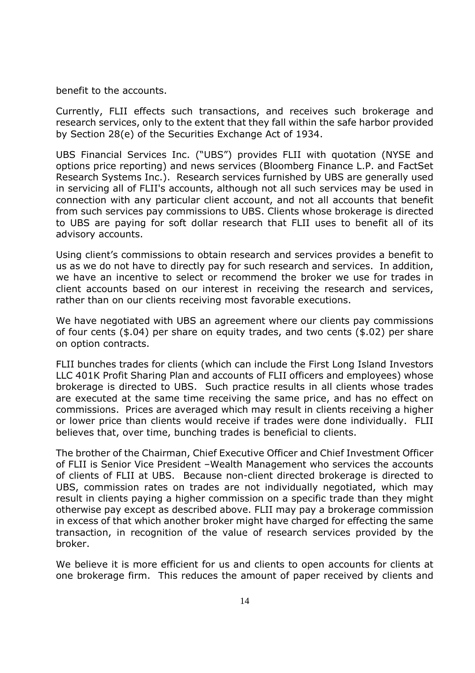benefit to the accounts.

Currently, FLII effects such transactions, and receives such brokerage and research services, only to the extent that they fall within the safe harbor provided by Section 28(e) of the Securities Exchange Act of 1934.

UBS Financial Services Inc. ("UBS") provides FLII with quotation (NYSE and options price reporting) and news services (Bloomberg Finance L.P. and FactSet Research Systems Inc.). Research services furnished by UBS are generally used in servicing all of FLII's accounts, although not all such services may be used in connection with any particular client account, and not all accounts that benefit from such services pay commissions to UBS. Clients whose brokerage is directed to UBS are paying for soft dollar research that FLII uses to benefit all of its advisory accounts.

Using client's commissions to obtain research and services provides a benefit to us as we do not have to directly pay for such research and services. In addition, we have an incentive to select or recommend the broker we use for trades in client accounts based on our interest in receiving the research and services, rather than on our clients receiving most favorable executions.

We have negotiated with UBS an agreement where our clients pay commissions of four cents (\$.04) per share on equity trades, and two cents (\$.02) per share on option contracts.

FLII bunches trades for clients (which can include the First Long Island Investors LLC 401K Profit Sharing Plan and accounts of FLII officers and employees) whose brokerage is directed to UBS. Such practice results in all clients whose trades are executed at the same time receiving the same price, and has no effect on commissions. Prices are averaged which may result in clients receiving a higher or lower price than clients would receive if trades were done individually. FLII believes that, over time, bunching trades is beneficial to clients.

The brother of the Chairman, Chief Executive Officer and Chief Investment Officer of FLII is Senior Vice President –Wealth Management who services the accounts of clients of FLII at UBS. Because non-client directed brokerage is directed to UBS, commission rates on trades are not individually negotiated, which may result in clients paying a higher commission on a specific trade than they might otherwise pay except as described above. FLII may pay a brokerage commission in excess of that which another broker might have charged for effecting the same transaction, in recognition of the value of research services provided by the broker.

We believe it is more efficient for us and clients to open accounts for clients at one brokerage firm. This reduces the amount of paper received by clients and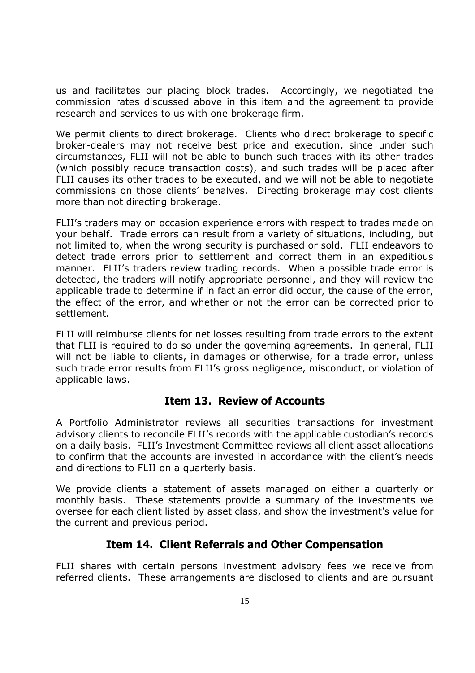us and facilitates our placing block trades. Accordingly, we negotiated the commission rates discussed above in this item and the agreement to provide research and services to us with one brokerage firm.

We permit clients to direct brokerage. Clients who direct brokerage to specific broker-dealers may not receive best price and execution, since under such circumstances, FLII will not be able to bunch such trades with its other trades (which possibly reduce transaction costs), and such trades will be placed after FLII causes its other trades to be executed, and we will not be able to negotiate commissions on those clients' behalves. Directing brokerage may cost clients more than not directing brokerage.

FLII's traders may on occasion experience errors with respect to trades made on your behalf. Trade errors can result from a variety of situations, including, but not limited to, when the wrong security is purchased or sold. FLII endeavors to detect trade errors prior to settlement and correct them in an expeditious manner. FLII's traders review trading records. When a possible trade error is detected, the traders will notify appropriate personnel, and they will review the applicable trade to determine if in fact an error did occur, the cause of the error, the effect of the error, and whether or not the error can be corrected prior to settlement.

FLII will reimburse clients for net losses resulting from trade errors to the extent that FLII is required to do so under the governing agreements. In general, FLII will not be liable to clients, in damages or otherwise, for a trade error, unless such trade error results from FLII's gross negligence, misconduct, or violation of applicable laws.

#### **Item 13. Review of Accounts**

A Portfolio Administrator reviews all securities transactions for investment advisory clients to reconcile FLII's records with the applicable custodian's records on a daily basis. FLII's Investment Committee reviews all client asset allocations to confirm that the accounts are invested in accordance with the client's needs and directions to FLII on a quarterly basis.

We provide clients a statement of assets managed on either a quarterly or monthly basis. These statements provide a summary of the investments we oversee for each client listed by asset class, and show the investment's value for the current and previous period.

#### **Item 14. Client Referrals and Other Compensation**

FLII shares with certain persons investment advisory fees we receive from referred clients. These arrangements are disclosed to clients and are pursuant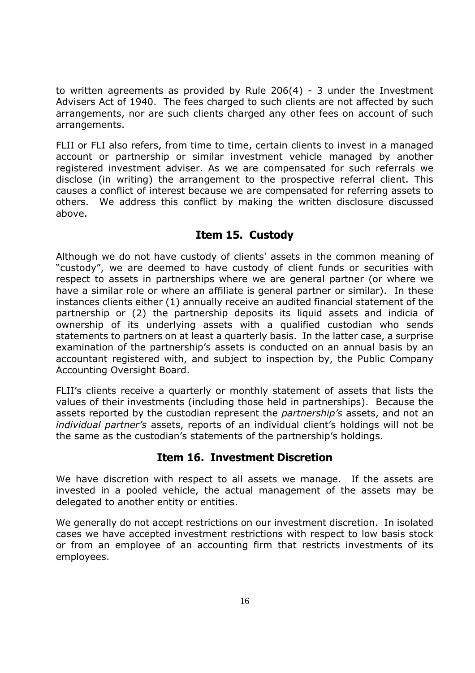to written agreements as provided by Rule 206(4) - 3 under the Investment Advisers Act of 1940. The fees charged to such clients are not affected by such arrangements, nor are such clients charged any other fees on account of such arrangements.

FLII or FLI also refers, from time to time, certain clients to invest in a managed account or partnership or similar investment vehicle managed by another registered investment adviser. As we are compensated for such referrals we disclose (in writing) the arrangement to the prospective referral client. This causes a conflict of interest because we are compensated for referring assets to others. We address this conflict by making the written disclosure discussed above.

#### **Item 15. Custody**

Although we do not have custody of clients' assets in the common meaning of "custody", we are deemed to have custody of client funds or securities with respect to assets in partnerships where we are general partner (or where we have a similar role or where an affiliate is general partner or similar). In these instances clients either (1) annually receive an audited financial statement of the partnership or (2) the partnership deposits its liquid assets and indicia of ownership of its underlying assets with a qualified custodian who sends statements to partners on at least a quarterly basis. In the latter case, a surprise examination of the partnership's assets is conducted on an annual basis by an accountant registered with, and subject to inspection by, the Public Company Accounting Oversight Board.

FLII's clients receive a quarterly or monthly statement of assets that lists the values of their investments (including those held in partnerships). Because the assets reported by the custodian represent the *partnership's* assets, and not an *individual partner's* assets, reports of an individual client's holdings will not be the same as the custodian's statements of the partnership's holdings.

#### **Item 16. Investment Discretion**

We have discretion with respect to all assets we manage. If the assets are invested in a pooled vehicle, the actual management of the assets may be delegated to another entity or entities.

We generally do not accept restrictions on our investment discretion. In isolated cases we have accepted investment restrictions with respect to low basis stock or from an employee of an accounting firm that restricts investments of its employees.